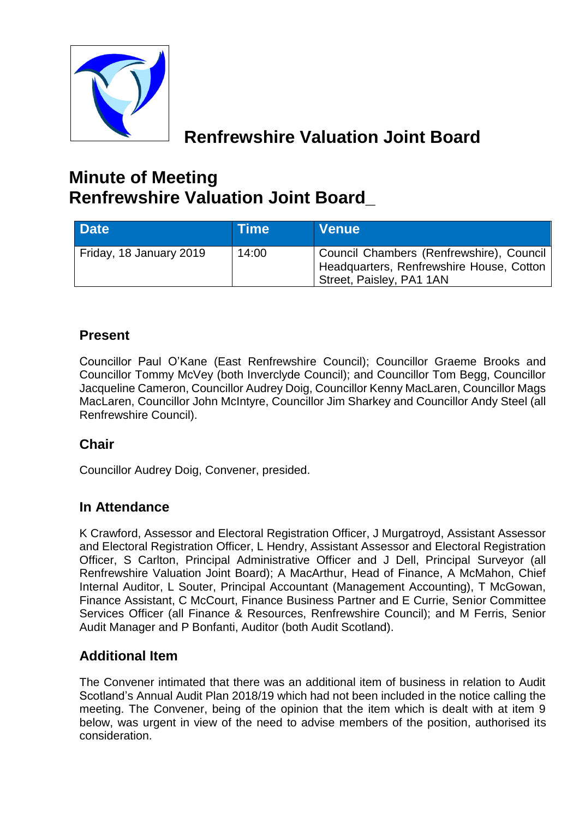

# **Renfrewshire Valuation Joint Board**

# **Minute of Meeting Renfrewshire Valuation Joint Board\_**

| Date <sup>1</sup>       | <b>Time</b> | <b>Venue</b>                                                                                                     |
|-------------------------|-------------|------------------------------------------------------------------------------------------------------------------|
| Friday, 18 January 2019 | 14:00       | Council Chambers (Renfrewshire), Council<br>Headquarters, Renfrewshire House, Cotton<br>Street, Paisley, PA1 1AN |

## **Present**

Councillor Paul O'Kane (East Renfrewshire Council); Councillor Graeme Brooks and Councillor Tommy McVey (both Inverclyde Council); and Councillor Tom Begg, Councillor Jacqueline Cameron, Councillor Audrey Doig, Councillor Kenny MacLaren, Councillor Mags MacLaren, Councillor John McIntyre, Councillor Jim Sharkey and Councillor Andy Steel (all Renfrewshire Council).

## **Chair**

Councillor Audrey Doig, Convener, presided.

## **In Attendance**

K Crawford, Assessor and Electoral Registration Officer, J Murgatroyd, Assistant Assessor and Electoral Registration Officer, L Hendry, Assistant Assessor and Electoral Registration Officer, S Carlton, Principal Administrative Officer and J Dell, Principal Surveyor (all Renfrewshire Valuation Joint Board); A MacArthur, Head of Finance, A McMahon, Chief Internal Auditor, L Souter, Principal Accountant (Management Accounting), T McGowan, Finance Assistant, C McCourt, Finance Business Partner and E Currie, Senior Committee Services Officer (all Finance & Resources, Renfrewshire Council); and M Ferris, Senior Audit Manager and P Bonfanti, Auditor (both Audit Scotland).

## **Additional Item**

The Convener intimated that there was an additional item of business in relation to Audit Scotland's Annual Audit Plan 2018/19 which had not been included in the notice calling the meeting. The Convener, being of the opinion that the item which is dealt with at item 9 below, was urgent in view of the need to advise members of the position, authorised its consideration.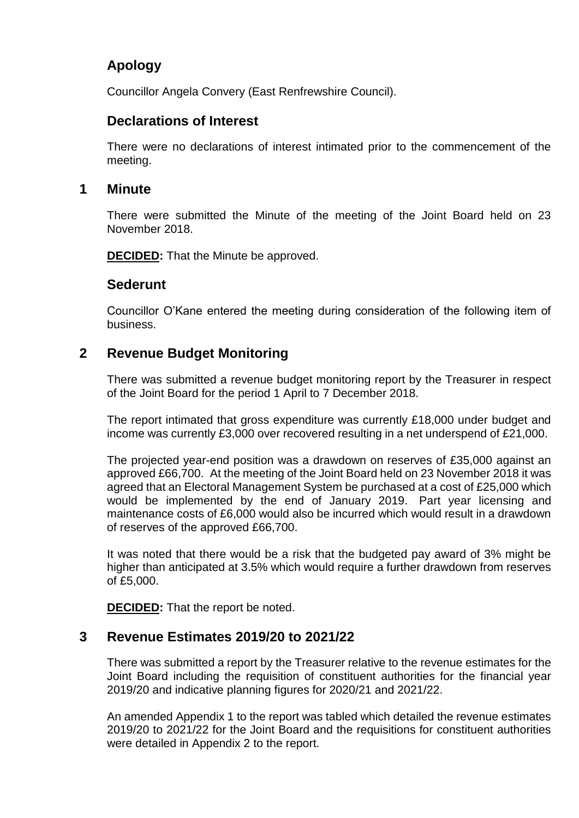## **Apology**

Councillor Angela Convery (East Renfrewshire Council).

## **Declarations of Interest**

There were no declarations of interest intimated prior to the commencement of the meeting.

#### **1 Minute**

There were submitted the Minute of the meeting of the Joint Board held on 23 November 2018.

**DECIDED:** That the Minute be approved.

#### **Sederunt**

Councillor O'Kane entered the meeting during consideration of the following item of business.

## **2 Revenue Budget Monitoring**

There was submitted a revenue budget monitoring report by the Treasurer in respect of the Joint Board for the period 1 April to 7 December 2018.

The report intimated that gross expenditure was currently £18,000 under budget and income was currently £3,000 over recovered resulting in a net underspend of £21,000.

The projected year-end position was a drawdown on reserves of £35,000 against an approved £66,700. At the meeting of the Joint Board held on 23 November 2018 it was agreed that an Electoral Management System be purchased at a cost of £25,000 which would be implemented by the end of January 2019. Part year licensing and maintenance costs of £6,000 would also be incurred which would result in a drawdown of reserves of the approved £66,700.

It was noted that there would be a risk that the budgeted pay award of 3% might be higher than anticipated at 3.5% which would require a further drawdown from reserves of £5,000.

**DECIDED:** That the report be noted.

## **3 Revenue Estimates 2019/20 to 2021/22**

There was submitted a report by the Treasurer relative to the revenue estimates for the Joint Board including the requisition of constituent authorities for the financial year 2019/20 and indicative planning figures for 2020/21 and 2021/22.

An amended Appendix 1 to the report was tabled which detailed the revenue estimates 2019/20 to 2021/22 for the Joint Board and the requisitions for constituent authorities were detailed in Appendix 2 to the report.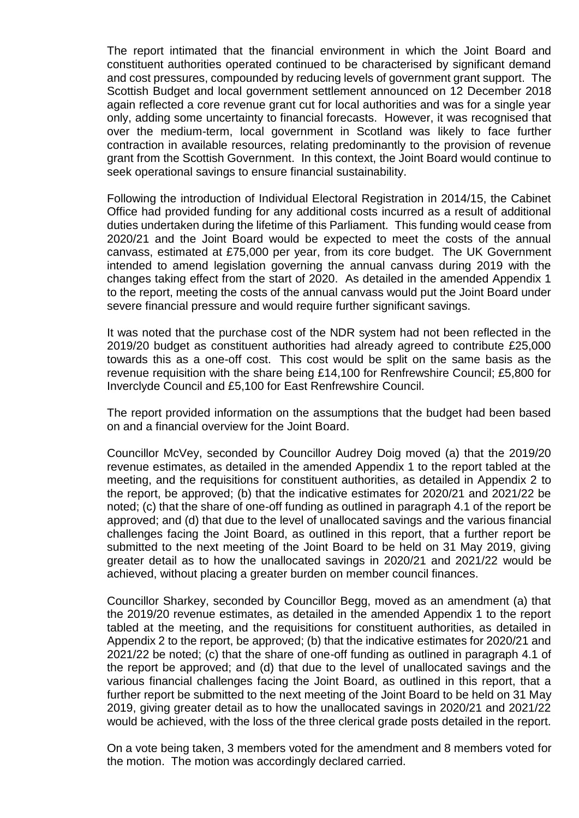The report intimated that the financial environment in which the Joint Board and constituent authorities operated continued to be characterised by significant demand and cost pressures, compounded by reducing levels of government grant support. The Scottish Budget and local government settlement announced on 12 December 2018 again reflected a core revenue grant cut for local authorities and was for a single year only, adding some uncertainty to financial forecasts. However, it was recognised that over the medium-term, local government in Scotland was likely to face further contraction in available resources, relating predominantly to the provision of revenue grant from the Scottish Government. In this context, the Joint Board would continue to seek operational savings to ensure financial sustainability.

Following the introduction of Individual Electoral Registration in 2014/15, the Cabinet Office had provided funding for any additional costs incurred as a result of additional duties undertaken during the lifetime of this Parliament. This funding would cease from 2020/21 and the Joint Board would be expected to meet the costs of the annual canvass, estimated at £75,000 per year, from its core budget. The UK Government intended to amend legislation governing the annual canvass during 2019 with the changes taking effect from the start of 2020. As detailed in the amended Appendix 1 to the report, meeting the costs of the annual canvass would put the Joint Board under severe financial pressure and would require further significant savings.

It was noted that the purchase cost of the NDR system had not been reflected in the 2019/20 budget as constituent authorities had already agreed to contribute £25,000 towards this as a one-off cost. This cost would be split on the same basis as the revenue requisition with the share being £14,100 for Renfrewshire Council; £5,800 for Inverclyde Council and £5,100 for East Renfrewshire Council.

The report provided information on the assumptions that the budget had been based on and a financial overview for the Joint Board.

Councillor McVey, seconded by Councillor Audrey Doig moved (a) that the 2019/20 revenue estimates, as detailed in the amended Appendix 1 to the report tabled at the meeting, and the requisitions for constituent authorities, as detailed in Appendix 2 to the report, be approved; (b) that the indicative estimates for 2020/21 and 2021/22 be noted; (c) that the share of one-off funding as outlined in paragraph 4.1 of the report be approved; and (d) that due to the level of unallocated savings and the various financial challenges facing the Joint Board, as outlined in this report, that a further report be submitted to the next meeting of the Joint Board to be held on 31 May 2019, giving greater detail as to how the unallocated savings in 2020/21 and 2021/22 would be achieved, without placing a greater burden on member council finances.

Councillor Sharkey, seconded by Councillor Begg, moved as an amendment (a) that the 2019/20 revenue estimates, as detailed in the amended Appendix 1 to the report tabled at the meeting, and the requisitions for constituent authorities, as detailed in Appendix 2 to the report, be approved; (b) that the indicative estimates for 2020/21 and 2021/22 be noted; (c) that the share of one-off funding as outlined in paragraph 4.1 of the report be approved; and (d) that due to the level of unallocated savings and the various financial challenges facing the Joint Board, as outlined in this report, that a further report be submitted to the next meeting of the Joint Board to be held on 31 May 2019, giving greater detail as to how the unallocated savings in 2020/21 and 2021/22 would be achieved, with the loss of the three clerical grade posts detailed in the report.

On a vote being taken, 3 members voted for the amendment and 8 members voted for the motion. The motion was accordingly declared carried.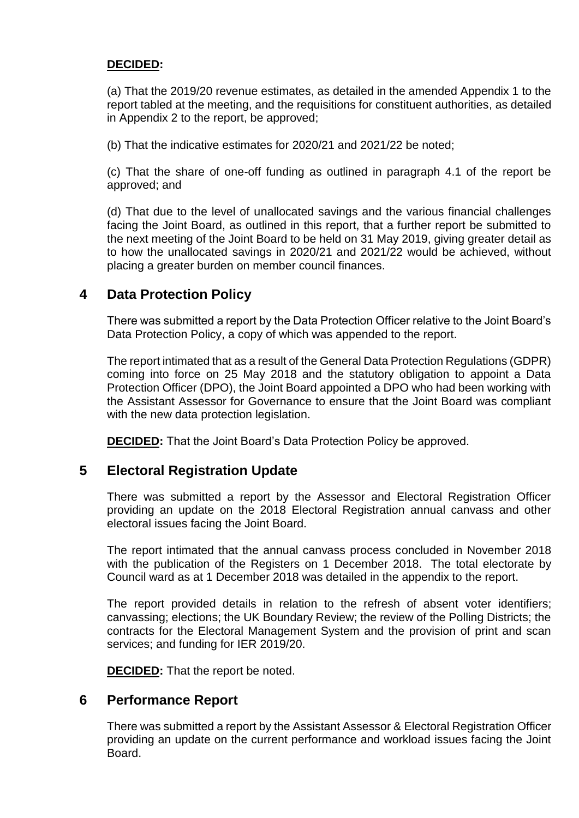#### **DECIDED:**

(a) That the 2019/20 revenue estimates, as detailed in the amended Appendix 1 to the report tabled at the meeting, and the requisitions for constituent authorities, as detailed in Appendix 2 to the report, be approved;

(b) That the indicative estimates for 2020/21 and 2021/22 be noted;

(c) That the share of one-off funding as outlined in paragraph 4.1 of the report be approved; and

(d) That due to the level of unallocated savings and the various financial challenges facing the Joint Board, as outlined in this report, that a further report be submitted to the next meeting of the Joint Board to be held on 31 May 2019, giving greater detail as to how the unallocated savings in 2020/21 and 2021/22 would be achieved, without placing a greater burden on member council finances.

## **4 Data Protection Policy**

There was submitted a report by the Data Protection Officer relative to the Joint Board's Data Protection Policy, a copy of which was appended to the report.

The report intimated that as a result of the General Data Protection Regulations (GDPR) coming into force on 25 May 2018 and the statutory obligation to appoint a Data Protection Officer (DPO), the Joint Board appointed a DPO who had been working with the Assistant Assessor for Governance to ensure that the Joint Board was compliant with the new data protection legislation.

**DECIDED:** That the Joint Board's Data Protection Policy be approved.

## **5 Electoral Registration Update**

There was submitted a report by the Assessor and Electoral Registration Officer providing an update on the 2018 Electoral Registration annual canvass and other electoral issues facing the Joint Board.

The report intimated that the annual canvass process concluded in November 2018 with the publication of the Registers on 1 December 2018. The total electorate by Council ward as at 1 December 2018 was detailed in the appendix to the report.

The report provided details in relation to the refresh of absent voter identifiers; canvassing; elections; the UK Boundary Review; the review of the Polling Districts; the contracts for the Electoral Management System and the provision of print and scan services; and funding for IER 2019/20.

**DECIDED:** That the report be noted.

## **6 Performance Report**

There was submitted a report by the Assistant Assessor & Electoral Registration Officer providing an update on the current performance and workload issues facing the Joint **Board**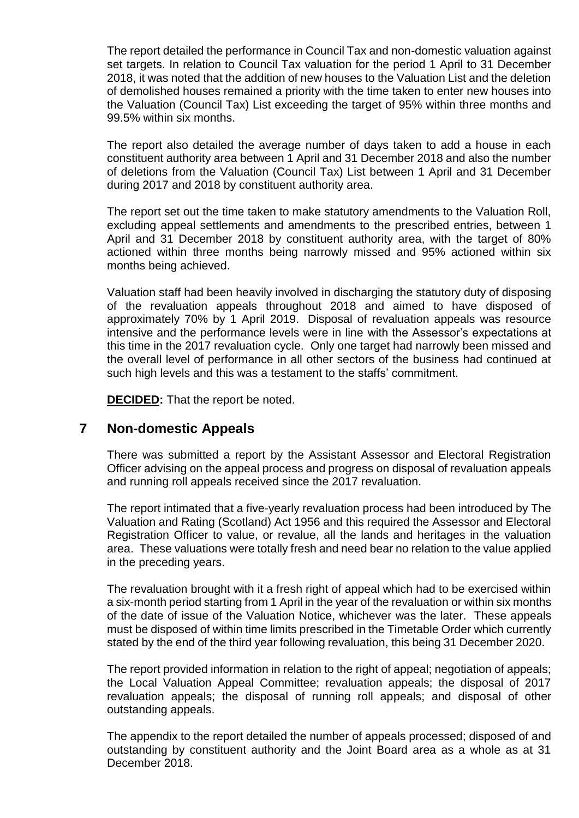The report detailed the performance in Council Tax and non-domestic valuation against set targets. In relation to Council Tax valuation for the period 1 April to 31 December 2018, it was noted that the addition of new houses to the Valuation List and the deletion of demolished houses remained a priority with the time taken to enter new houses into the Valuation (Council Tax) List exceeding the target of 95% within three months and 99.5% within six months.

The report also detailed the average number of days taken to add a house in each constituent authority area between 1 April and 31 December 2018 and also the number of deletions from the Valuation (Council Tax) List between 1 April and 31 December during 2017 and 2018 by constituent authority area.

The report set out the time taken to make statutory amendments to the Valuation Roll, excluding appeal settlements and amendments to the prescribed entries, between 1 April and 31 December 2018 by constituent authority area, with the target of 80% actioned within three months being narrowly missed and 95% actioned within six months being achieved.

Valuation staff had been heavily involved in discharging the statutory duty of disposing of the revaluation appeals throughout 2018 and aimed to have disposed of approximately 70% by 1 April 2019. Disposal of revaluation appeals was resource intensive and the performance levels were in line with the Assessor's expectations at this time in the 2017 revaluation cycle. Only one target had narrowly been missed and the overall level of performance in all other sectors of the business had continued at such high levels and this was a testament to the staffs' commitment.

**DECIDED:** That the report be noted.

## **7 Non-domestic Appeals**

There was submitted a report by the Assistant Assessor and Electoral Registration Officer advising on the appeal process and progress on disposal of revaluation appeals and running roll appeals received since the 2017 revaluation.

The report intimated that a five-yearly revaluation process had been introduced by The Valuation and Rating (Scotland) Act 1956 and this required the Assessor and Electoral Registration Officer to value, or revalue, all the lands and heritages in the valuation area. These valuations were totally fresh and need bear no relation to the value applied in the preceding years.

The revaluation brought with it a fresh right of appeal which had to be exercised within a six-month period starting from 1 April in the year of the revaluation or within six months of the date of issue of the Valuation Notice, whichever was the later. These appeals must be disposed of within time limits prescribed in the Timetable Order which currently stated by the end of the third year following revaluation, this being 31 December 2020.

The report provided information in relation to the right of appeal; negotiation of appeals; the Local Valuation Appeal Committee; revaluation appeals; the disposal of 2017 revaluation appeals; the disposal of running roll appeals; and disposal of other outstanding appeals.

The appendix to the report detailed the number of appeals processed; disposed of and outstanding by constituent authority and the Joint Board area as a whole as at 31 December 2018.